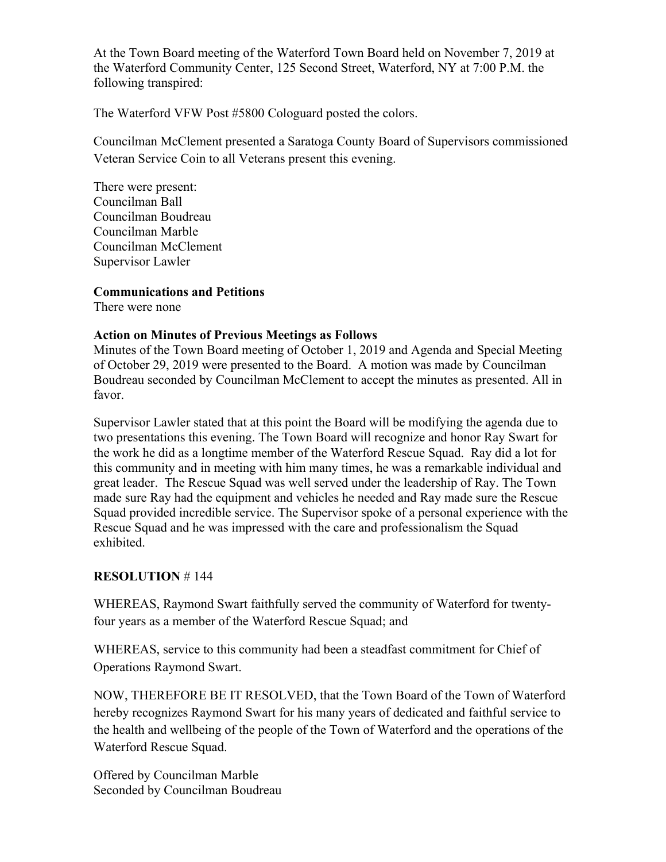At the Town Board meeting of the Waterford Town Board held on November 7, 2019 at the Waterford Community Center, 125 Second Street, Waterford, NY at 7:00 P.M. the following transpired:

The Waterford VFW Post #5800 Cologuard posted the colors.

Councilman McClement presented a Saratoga County Board of Supervisors commissioned Veteran Service Coin to all Veterans present this evening.

There were present: Councilman Ball Councilman Boudreau Councilman Marble Councilman McClement Supervisor Lawler

### **Communications and Petitions**

There were none

### **Action on Minutes of Previous Meetings as Follows**

Minutes of the Town Board meeting of October 1, 2019 and Agenda and Special Meeting of October 29, 2019 were presented to the Board. A motion was made by Councilman Boudreau seconded by Councilman McClement to accept the minutes as presented. All in favor.

Supervisor Lawler stated that at this point the Board will be modifying the agenda due to two presentations this evening. The Town Board will recognize and honor Ray Swart for the work he did as a longtime member of the Waterford Rescue Squad. Ray did a lot for this community and in meeting with him many times, he was a remarkable individual and great leader. The Rescue Squad was well served under the leadership of Ray. The Town made sure Ray had the equipment and vehicles he needed and Ray made sure the Rescue Squad provided incredible service. The Supervisor spoke of a personal experience with the Rescue Squad and he was impressed with the care and professionalism the Squad exhibited.

## **RESOLUTION** # 144

WHEREAS, Raymond Swart faithfully served the community of Waterford for twentyfour years as a member of the Waterford Rescue Squad; and

WHEREAS, service to this community had been a steadfast commitment for Chief of Operations Raymond Swart.

NOW, THEREFORE BE IT RESOLVED, that the Town Board of the Town of Waterford hereby recognizes Raymond Swart for his many years of dedicated and faithful service to the health and wellbeing of the people of the Town of Waterford and the operations of the Waterford Rescue Squad.

Offered by Councilman Marble Seconded by Councilman Boudreau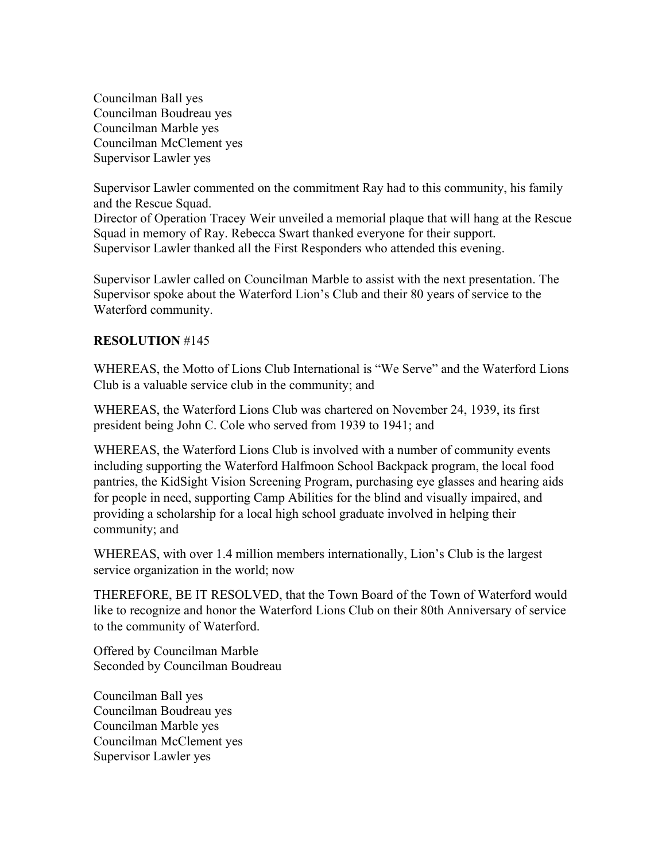Councilman Ball yes Councilman Boudreau yes Councilman Marble yes Councilman McClement yes Supervisor Lawler yes

Supervisor Lawler commented on the commitment Ray had to this community, his family and the Rescue Squad.

Director of Operation Tracey Weir unveiled a memorial plaque that will hang at the Rescue Squad in memory of Ray. Rebecca Swart thanked everyone for their support. Supervisor Lawler thanked all the First Responders who attended this evening.

Supervisor Lawler called on Councilman Marble to assist with the next presentation. The Supervisor spoke about the Waterford Lion's Club and their 80 years of service to the Waterford community.

### **RESOLUTION** #145

WHEREAS, the Motto of Lions Club International is "We Serve" and the Waterford Lions Club is a valuable service club in the community; and

WHEREAS, the Waterford Lions Club was chartered on November 24, 1939, its first president being John C. Cole who served from 1939 to 1941; and

WHEREAS, the Waterford Lions Club is involved with a number of community events including supporting the Waterford Halfmoon School Backpack program, the local food pantries, the KidSight Vision Screening Program, purchasing eye glasses and hearing aids for people in need, supporting Camp Abilities for the blind and visually impaired, and providing a scholarship for a local high school graduate involved in helping their community; and

WHEREAS, with over 1.4 million members internationally, Lion's Club is the largest service organization in the world; now

THEREFORE, BE IT RESOLVED, that the Town Board of the Town of Waterford would like to recognize and honor the Waterford Lions Club on their 80th Anniversary of service to the community of Waterford.

Offered by Councilman Marble Seconded by Councilman Boudreau

Councilman Ball yes Councilman Boudreau yes Councilman Marble yes Councilman McClement yes Supervisor Lawler yes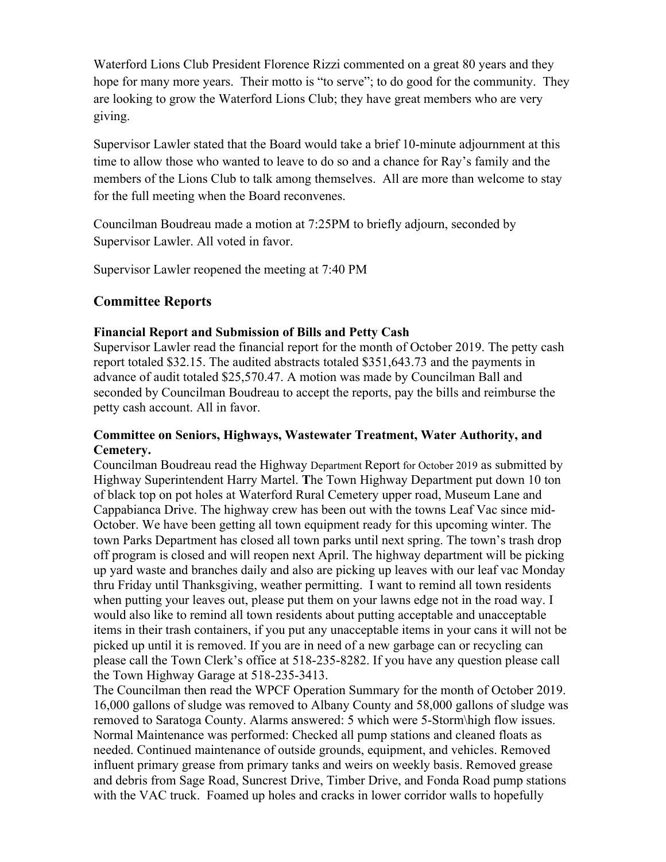Waterford Lions Club President Florence Rizzi commented on a great 80 years and they hope for many more years. Their motto is "to serve"; to do good for the community. They are looking to grow the Waterford Lions Club; they have great members who are very giving.

Supervisor Lawler stated that the Board would take a brief 10-minute adjournment at this time to allow those who wanted to leave to do so and a chance for Ray's family and the members of the Lions Club to talk among themselves. All are more than welcome to stay for the full meeting when the Board reconvenes.

Councilman Boudreau made a motion at 7:25PM to briefly adjourn, seconded by Supervisor Lawler. All voted in favor.

Supervisor Lawler reopened the meeting at 7:40 PM

# **Committee Reports**

### **Financial Report and Submission of Bills and Petty Cash**

Supervisor Lawler read the financial report for the month of October 2019. The petty cash report totaled \$32.15. The audited abstracts totaled \$351,643.73 and the payments in advance of audit totaled \$25,570.47. A motion was made by Councilman Ball and seconded by Councilman Boudreau to accept the reports, pay the bills and reimburse the petty cash account. All in favor.

## **Committee on Seniors, Highways, Wastewater Treatment, Water Authority, and Cemetery.**

Councilman Boudreau read the Highway Department Report for October 2019 as submitted by Highway Superintendent Harry Martel. **T**he Town Highway Department put down 10 ton of black top on pot holes at Waterford Rural Cemetery upper road, Museum Lane and Cappabianca Drive. The highway crew has been out with the towns Leaf Vac since mid-October. We have been getting all town equipment ready for this upcoming winter. The town Parks Department has closed all town parks until next spring. The town's trash drop off program is closed and will reopen next April. The highway department will be picking up yard waste and branches daily and also are picking up leaves with our leaf vac Monday thru Friday until Thanksgiving, weather permitting. I want to remind all town residents when putting your leaves out, please put them on your lawns edge not in the road way. I would also like to remind all town residents about putting acceptable and unacceptable items in their trash containers, if you put any unacceptable items in your cans it will not be picked up until it is removed. If you are in need of a new garbage can or recycling can please call the Town Clerk's office at 518-235-8282. If you have any question please call the Town Highway Garage at 518-235-3413.

The Councilman then read the WPCF Operation Summary for the month of October 2019. 16,000 gallons of sludge was removed to Albany County and 58,000 gallons of sludge was removed to Saratoga County. Alarms answered: 5 which were 5-Storm\high flow issues. Normal Maintenance was performed: Checked all pump stations and cleaned floats as needed. Continued maintenance of outside grounds, equipment, and vehicles. Removed influent primary grease from primary tanks and weirs on weekly basis. Removed grease and debris from Sage Road, Suncrest Drive, Timber Drive, and Fonda Road pump stations with the VAC truck. Foamed up holes and cracks in lower corridor walls to hopefully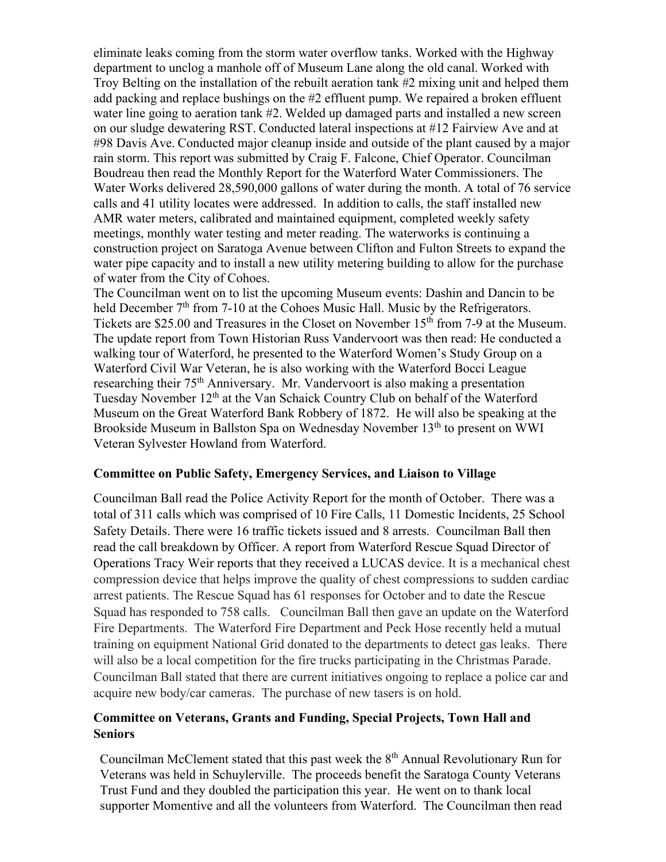eliminate leaks coming from the storm water overflow tanks. Worked with the Highway department to unclog a manhole off of Museum Lane along the old canal. Worked with Troy Belting on the installation of the rebuilt aeration tank #2 mixing unit and helped them add packing and replace bushings on the #2 effluent pump. We repaired a broken effluent water line going to aeration tank #2. Welded up damaged parts and installed a new screen on our sludge dewatering RST. Conducted lateral inspections at #12 Fairview Ave and at #98 Davis Ave. Conducted major cleanup inside and outside of the plant caused by a major rain storm. This report was submitted by Craig F. Falcone, Chief Operator. Councilman Boudreau then read the Monthly Report for the Waterford Water Commissioners. The Water Works delivered 28,590,000 gallons of water during the month. A total of 76 service calls and 41 utility locates were addressed. In addition to calls, the staff installed new AMR water meters, calibrated and maintained equipment, completed weekly safety meetings, monthly water testing and meter reading. The waterworks is continuing a construction project on Saratoga Avenue between Clifton and Fulton Streets to expand the water pipe capacity and to install a new utility metering building to allow for the purchase of water from the City of Cohoes.

The Councilman went on to list the upcoming Museum events: Dashin and Dancin to be held December 7<sup>th</sup> from 7-10 at the Cohoes Music Hall. Music by the Refrigerators. Tickets are \$25.00 and Treasures in the Closet on November 15<sup>th</sup> from 7-9 at the Museum. The update report from Town Historian Russ Vandervoort was then read: He conducted a walking tour of Waterford, he presented to the Waterford Women's Study Group on a Waterford Civil War Veteran, he is also working with the Waterford Bocci League researching their 75th Anniversary. Mr. Vandervoort is also making a presentation Tuesday November 12<sup>th</sup> at the Van Schaick Country Club on behalf of the Waterford Museum on the Great Waterford Bank Robbery of 1872. He will also be speaking at the Brookside Museum in Ballston Spa on Wednesday November 13<sup>th</sup> to present on WWI Veteran Sylvester Howland from Waterford.

### **Committee on Public Safety, Emergency Services, and Liaison to Village**

Councilman Ball read the Police Activity Report for the month of October. There was a total of 311 calls which was comprised of 10 Fire Calls, 11 Domestic Incidents, 25 School Safety Details. There were 16 traffic tickets issued and 8 arrests. Councilman Ball then read the call breakdown by Officer. A report from Waterford Rescue Squad Director of Operations Tracy Weir reports that they received a LUCAS device. It is a mechanical chest compression device that helps improve the quality of chest compressions to sudden cardiac arrest patients. The Rescue Squad has 61 responses for October and to date the Rescue Squad has responded to 758 calls. Councilman Ball then gave an update on the Waterford Fire Departments. The Waterford Fire Department and Peck Hose recently held a mutual training on equipment National Grid donated to the departments to detect gas leaks. There will also be a local competition for the fire trucks participating in the Christmas Parade. Councilman Ball stated that there are current initiatives ongoing to replace a police car and acquire new body/car cameras. The purchase of new tasers is on hold.

### **Committee on Veterans, Grants and Funding, Special Projects, Town Hall and Seniors**

Councilman McClement stated that this past week the  $8<sup>th</sup>$  Annual Revolutionary Run for Veterans was held in Schuylerville. The proceeds benefit the Saratoga County Veterans Trust Fund and they doubled the participation this year. He went on to thank local supporter Momentive and all the volunteers from Waterford. The Councilman then read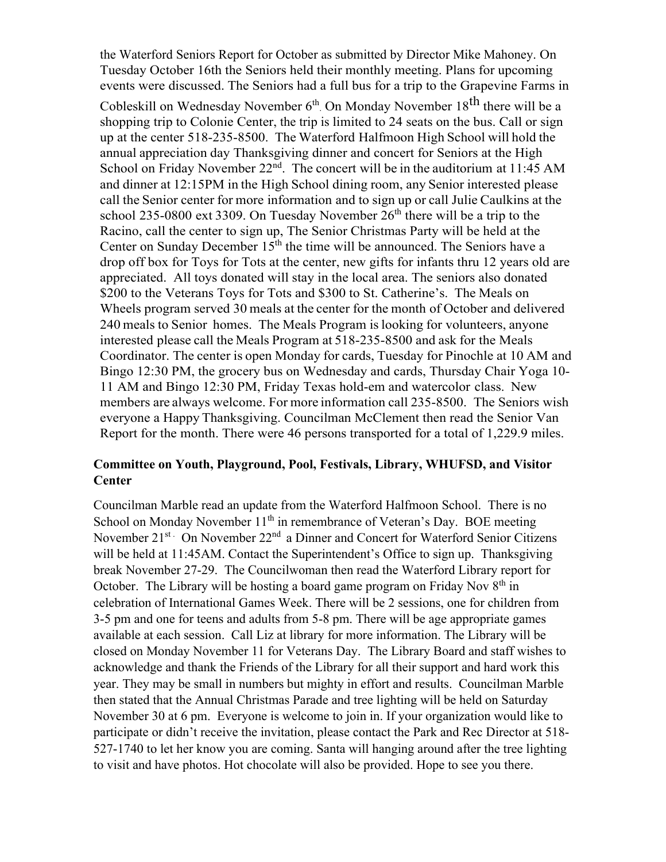the Waterford Seniors Report for October as submitted by Director Mike Mahoney. On Tuesday October 16th the Seniors held their monthly meeting. Plans for upcoming events were discussed. The Seniors had a full bus for a trip to the Grapevine Farms in

Cobleskill on Wednesday November  $6<sup>th</sup>$ . On Monday November 18<sup>th</sup> there will be a shopping trip to Colonie Center, the trip is limited to 24 seats on the bus. Call or sign up at the center 518-235-8500. The Waterford Halfmoon High School will hold the annual appreciation day Thanksgiving dinner and concert for Seniors at the High School on Friday November  $22<sup>nd</sup>$ . The concert will be in the auditorium at 11:45 AM and dinner at 12:15PM in the High School dining room, any Senior interested please call the Senior center for more information and to sign up or call Julie Caulkins at the school 235-0800 ext 3309. On Tuesday November  $26<sup>th</sup>$  there will be a trip to the Racino, call the center to sign up, The Senior Christmas Party will be held at the Center on Sunday December  $15<sup>th</sup>$  the time will be announced. The Seniors have a drop off box for Toys for Tots at the center, new gifts for infants thru 12 years old are appreciated. All toys donated will stay in the local area. The seniors also donated \$200 to the Veterans Toys for Tots and \$300 to St. Catherine's. The Meals on Wheels program served 30 meals at the center for the month of October and delivered 240 meals to Senior homes. The Meals Program is looking for volunteers, anyone interested please call the Meals Program at 518-235-8500 and ask for the Meals Coordinator. The center is open Monday for cards, Tuesday for Pinochle at 10 AM and Bingo 12:30 PM, the grocery bus on Wednesday and cards, Thursday Chair Yoga 10- 11 AM and Bingo 12:30 PM, Friday Texas hold-em and watercolor class. New members are always welcome. For more information call 235-8500. The Seniors wish everyone a Happy Thanksgiving. Councilman McClement then read the Senior Van Report for the month. There were 46 persons transported for a total of 1,229.9 miles.

# **Committee on Youth, Playground, Pool, Festivals, Library, WHUFSD, and Visitor Center**

Councilman Marble read an update from the Waterford Halfmoon School. There is no School on Monday November  $11<sup>th</sup>$  in remembrance of Veteran's Day. BOE meeting November 21<sup>st</sup> On November 22<sup>nd</sup> a Dinner and Concert for Waterford Senior Citizens will be held at 11:45AM. Contact the Superintendent's Office to sign up. Thanksgiving break November 27-29. The Councilwoman then read the Waterford Library report for October. The Library will be hosting a board game program on Friday Nov  $8<sup>th</sup>$  in celebration of International Games Week. There will be 2 sessions, one for children from 3-5 pm and one for teens and adults from 5-8 pm. There will be age appropriate games available at each session. Call Liz at library for more information. The Library will be closed on Monday November 11 for Veterans Day. The Library Board and staff wishes to acknowledge and thank the Friends of the Library for all their support and hard work this year. They may be small in numbers but mighty in effort and results. Councilman Marble then stated that the Annual Christmas Parade and tree lighting will be held on Saturday November 30 at 6 pm. Everyone is welcome to join in. If your organization would like to participate or didn't receive the invitation, please contact the Park and Rec Director at 518- 527-1740 to let her know you are coming. Santa will hanging around after the tree lighting to visit and have photos. Hot chocolate will also be provided. Hope to see you there.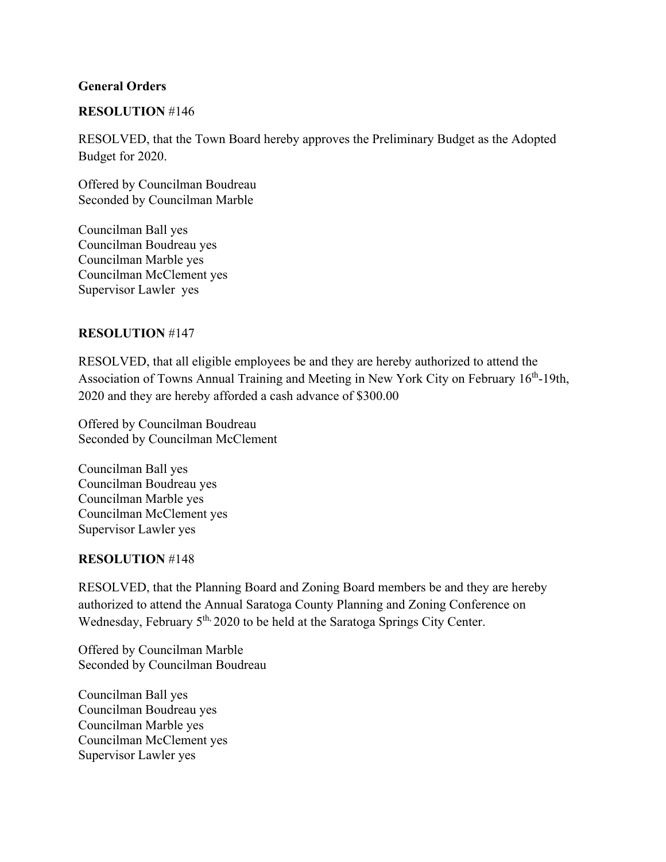### **General Orders**

### **RESOLUTION** #146

RESOLVED, that the Town Board hereby approves the Preliminary Budget as the Adopted Budget for 2020.

Offered by Councilman Boudreau Seconded by Councilman Marble

Councilman Ball yes Councilman Boudreau yes Councilman Marble yes Councilman McClement yes Supervisor Lawler yes

### **RESOLUTION** #147

RESOLVED, that all eligible employees be and they are hereby authorized to attend the Association of Towns Annual Training and Meeting in New York City on February 16th-19th, 2020 and they are hereby afforded a cash advance of \$300.00

Offered by Councilman Boudreau Seconded by Councilman McClement

Councilman Ball yes Councilman Boudreau yes Councilman Marble yes Councilman McClement yes Supervisor Lawler yes

#### **RESOLUTION** #148

RESOLVED, that the Planning Board and Zoning Board members be and they are hereby authorized to attend the Annual Saratoga County Planning and Zoning Conference on Wednesday, February 5<sup>th,</sup> 2020 to be held at the Saratoga Springs City Center.

Offered by Councilman Marble Seconded by Councilman Boudreau

Councilman Ball yes Councilman Boudreau yes Councilman Marble yes Councilman McClement yes Supervisor Lawler yes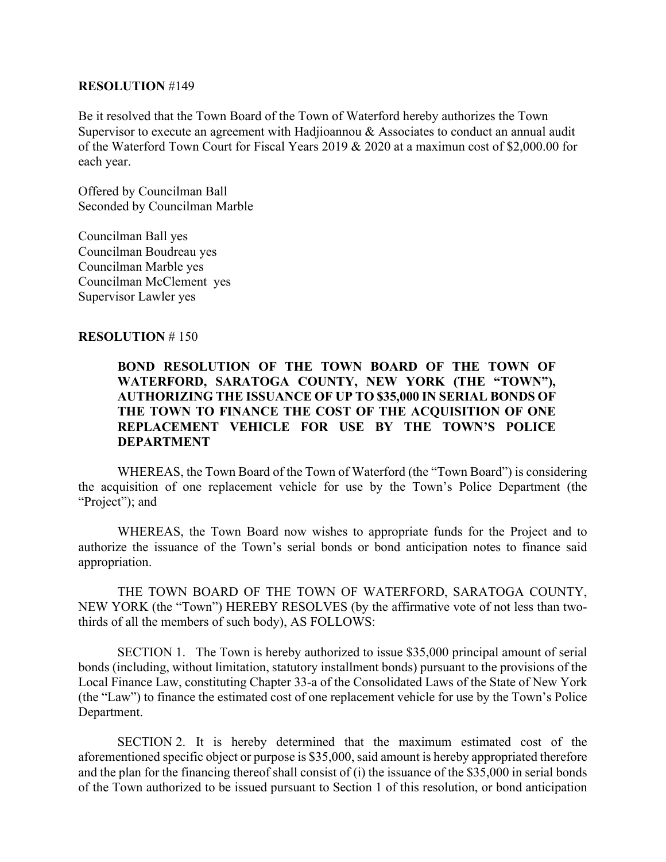#### **RESOLUTION** #149

Be it resolved that the Town Board of the Town of Waterford hereby authorizes the Town Supervisor to execute an agreement with Hadjioannou & Associates to conduct an annual audit of the Waterford Town Court for Fiscal Years 2019 & 2020 at a maximun cost of \$2,000.00 for each year.

Offered by Councilman Ball Seconded by Councilman Marble

Councilman Ball yes Councilman Boudreau yes Councilman Marble yes Councilman McClement yes Supervisor Lawler yes

#### **RESOLUTION** # 150

### **BOND RESOLUTION OF THE TOWN BOARD OF THE TOWN OF WATERFORD, SARATOGA COUNTY, NEW YORK (THE "TOWN"), AUTHORIZING THE ISSUANCE OF UP TO \$35,000 IN SERIAL BONDS OF THE TOWN TO FINANCE THE COST OF THE ACQUISITION OF ONE REPLACEMENT VEHICLE FOR USE BY THE TOWN'S POLICE DEPARTMENT**

WHEREAS, the Town Board of the Town of Waterford (the "Town Board") is considering the acquisition of one replacement vehicle for use by the Town's Police Department (the "Project"); and

WHEREAS, the Town Board now wishes to appropriate funds for the Project and to authorize the issuance of the Town's serial bonds or bond anticipation notes to finance said appropriation.

THE TOWN BOARD OF THE TOWN OF WATERFORD, SARATOGA COUNTY, NEW YORK (the "Town") HEREBY RESOLVES (by the affirmative vote of not less than twothirds of all the members of such body), AS FOLLOWS:

SECTION 1. The Town is hereby authorized to issue \$35,000 principal amount of serial bonds (including, without limitation, statutory installment bonds) pursuant to the provisions of the Local Finance Law, constituting Chapter 33-a of the Consolidated Laws of the State of New York (the "Law") to finance the estimated cost of one replacement vehicle for use by the Town's Police Department.

SECTION 2. It is hereby determined that the maximum estimated cost of the aforementioned specific object or purpose is \$35,000, said amount is hereby appropriated therefore and the plan for the financing thereof shall consist of (i) the issuance of the \$35,000 in serial bonds of the Town authorized to be issued pursuant to Section 1 of this resolution, or bond anticipation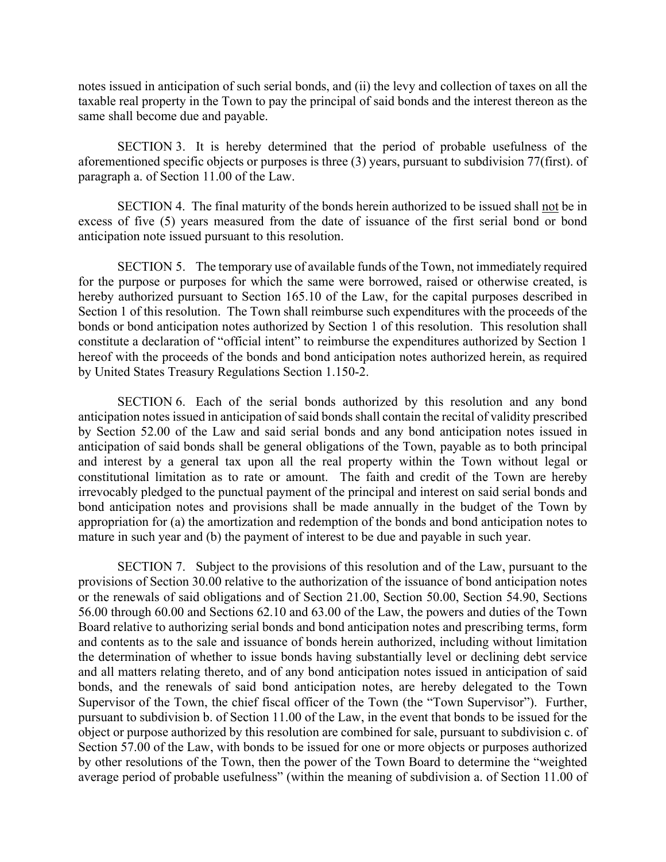notes issued in anticipation of such serial bonds, and (ii) the levy and collection of taxes on all the taxable real property in the Town to pay the principal of said bonds and the interest thereon as the same shall become due and payable.

SECTION 3. It is hereby determined that the period of probable usefulness of the aforementioned specific objects or purposes is three (3) years, pursuant to subdivision 77(first). of paragraph a. of Section 11.00 of the Law.

SECTION 4. The final maturity of the bonds herein authorized to be issued shall not be in excess of five (5) years measured from the date of issuance of the first serial bond or bond anticipation note issued pursuant to this resolution.

SECTION 5. The temporary use of available funds of the Town, not immediately required for the purpose or purposes for which the same were borrowed, raised or otherwise created, is hereby authorized pursuant to Section 165.10 of the Law, for the capital purposes described in Section 1 of this resolution. The Town shall reimburse such expenditures with the proceeds of the bonds or bond anticipation notes authorized by Section 1 of this resolution. This resolution shall constitute a declaration of "official intent" to reimburse the expenditures authorized by Section 1 hereof with the proceeds of the bonds and bond anticipation notes authorized herein, as required by United States Treasury Regulations Section 1.150-2.

SECTION 6. Each of the serial bonds authorized by this resolution and any bond anticipation notes issued in anticipation of said bonds shall contain the recital of validity prescribed by Section 52.00 of the Law and said serial bonds and any bond anticipation notes issued in anticipation of said bonds shall be general obligations of the Town, payable as to both principal and interest by a general tax upon all the real property within the Town without legal or constitutional limitation as to rate or amount. The faith and credit of the Town are hereby irrevocably pledged to the punctual payment of the principal and interest on said serial bonds and bond anticipation notes and provisions shall be made annually in the budget of the Town by appropriation for (a) the amortization and redemption of the bonds and bond anticipation notes to mature in such year and (b) the payment of interest to be due and payable in such year.

SECTION 7. Subject to the provisions of this resolution and of the Law, pursuant to the provisions of Section 30.00 relative to the authorization of the issuance of bond anticipation notes or the renewals of said obligations and of Section 21.00, Section 50.00, Section 54.90, Sections 56.00 through 60.00 and Sections 62.10 and 63.00 of the Law, the powers and duties of the Town Board relative to authorizing serial bonds and bond anticipation notes and prescribing terms, form and contents as to the sale and issuance of bonds herein authorized, including without limitation the determination of whether to issue bonds having substantially level or declining debt service and all matters relating thereto, and of any bond anticipation notes issued in anticipation of said bonds, and the renewals of said bond anticipation notes, are hereby delegated to the Town Supervisor of the Town, the chief fiscal officer of the Town (the "Town Supervisor"). Further, pursuant to subdivision b. of Section 11.00 of the Law, in the event that bonds to be issued for the object or purpose authorized by this resolution are combined for sale, pursuant to subdivision c. of Section 57.00 of the Law, with bonds to be issued for one or more objects or purposes authorized by other resolutions of the Town, then the power of the Town Board to determine the "weighted average period of probable usefulness" (within the meaning of subdivision a. of Section 11.00 of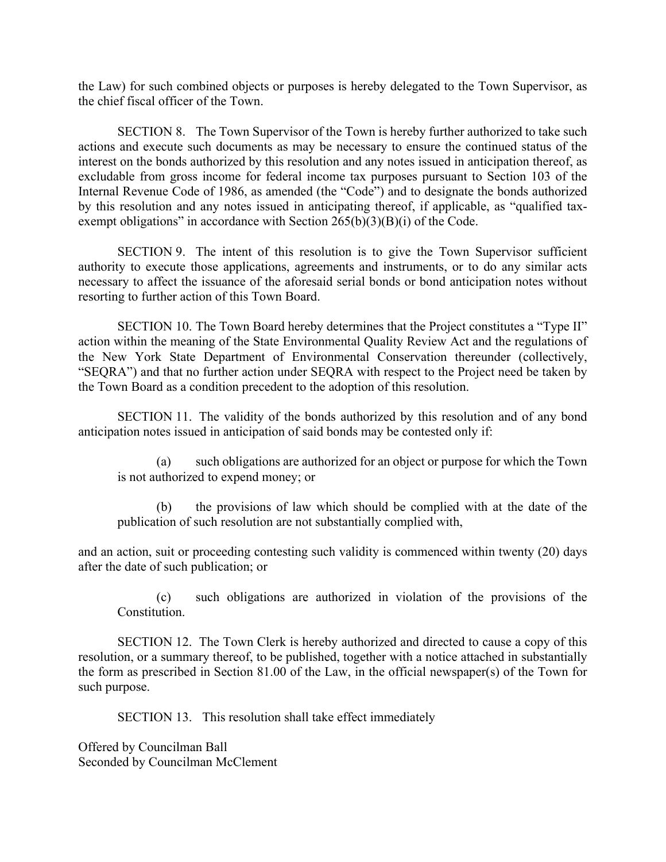the Law) for such combined objects or purposes is hereby delegated to the Town Supervisor, as the chief fiscal officer of the Town.

SECTION 8. The Town Supervisor of the Town is hereby further authorized to take such actions and execute such documents as may be necessary to ensure the continued status of the interest on the bonds authorized by this resolution and any notes issued in anticipation thereof, as excludable from gross income for federal income tax purposes pursuant to Section 103 of the Internal Revenue Code of 1986, as amended (the "Code") and to designate the bonds authorized by this resolution and any notes issued in anticipating thereof, if applicable, as "qualified taxexempt obligations" in accordance with Section  $265(b)(3)(B)(i)$  of the Code.

SECTION 9. The intent of this resolution is to give the Town Supervisor sufficient authority to execute those applications, agreements and instruments, or to do any similar acts necessary to affect the issuance of the aforesaid serial bonds or bond anticipation notes without resorting to further action of this Town Board.

SECTION 10. The Town Board hereby determines that the Project constitutes a "Type II" action within the meaning of the State Environmental Quality Review Act and the regulations of the New York State Department of Environmental Conservation thereunder (collectively, "SEQRA") and that no further action under SEQRA with respect to the Project need be taken by the Town Board as a condition precedent to the adoption of this resolution.

SECTION 11. The validity of the bonds authorized by this resolution and of any bond anticipation notes issued in anticipation of said bonds may be contested only if:

(a) such obligations are authorized for an object or purpose for which the Town is not authorized to expend money; or

(b) the provisions of law which should be complied with at the date of the publication of such resolution are not substantially complied with,

and an action, suit or proceeding contesting such validity is commenced within twenty (20) days after the date of such publication; or

(c) such obligations are authorized in violation of the provisions of the Constitution.

SECTION 12. The Town Clerk is hereby authorized and directed to cause a copy of this resolution, or a summary thereof, to be published, together with a notice attached in substantially the form as prescribed in Section 81.00 of the Law, in the official newspaper(s) of the Town for such purpose.

SECTION 13. This resolution shall take effect immediately

Offered by Councilman Ball Seconded by Councilman McClement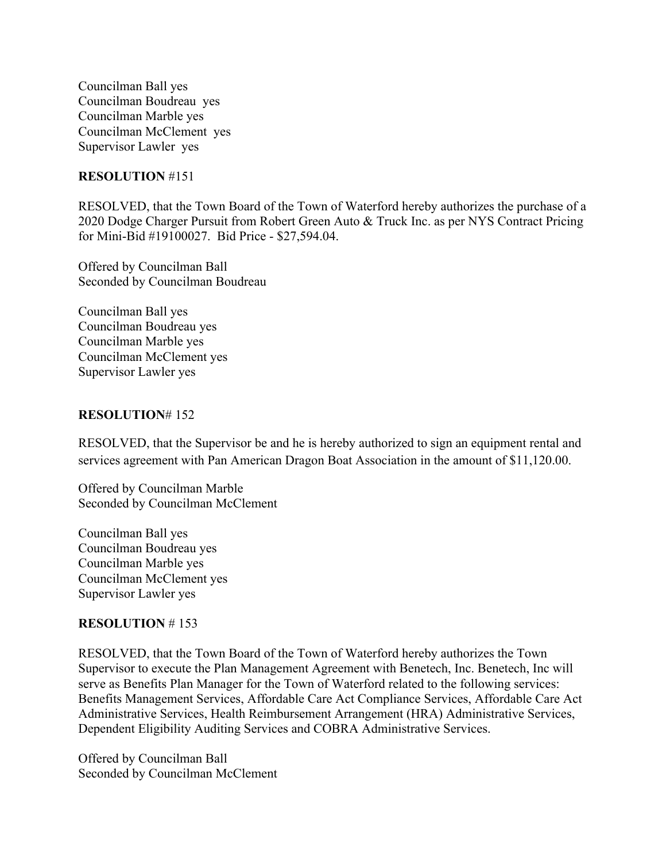Councilman Ball yes Councilman Boudreau yes Councilman Marble yes Councilman McClement yes Supervisor Lawler yes

### **RESOLUTION** #151

RESOLVED, that the Town Board of the Town of Waterford hereby authorizes the purchase of a 2020 Dodge Charger Pursuit from Robert Green Auto & Truck Inc. as per NYS Contract Pricing for Mini-Bid #19100027. Bid Price - \$27,594.04.

Offered by Councilman Ball Seconded by Councilman Boudreau

Councilman Ball yes Councilman Boudreau yes Councilman Marble yes Councilman McClement yes Supervisor Lawler yes

#### **RESOLUTION**# 152

RESOLVED, that the Supervisor be and he is hereby authorized to sign an equipment rental and services agreement with Pan American Dragon Boat Association in the amount of \$11,120.00.

Offered by Councilman Marble Seconded by Councilman McClement

Councilman Ball yes Councilman Boudreau yes Councilman Marble yes Councilman McClement yes Supervisor Lawler yes

#### **RESOLUTION** # 153

RESOLVED, that the Town Board of the Town of Waterford hereby authorizes the Town Supervisor to execute the Plan Management Agreement with Benetech, Inc. Benetech, Inc will serve as Benefits Plan Manager for the Town of Waterford related to the following services: Benefits Management Services, Affordable Care Act Compliance Services, Affordable Care Act Administrative Services, Health Reimbursement Arrangement (HRA) Administrative Services, Dependent Eligibility Auditing Services and COBRA Administrative Services.

Offered by Councilman Ball Seconded by Councilman McClement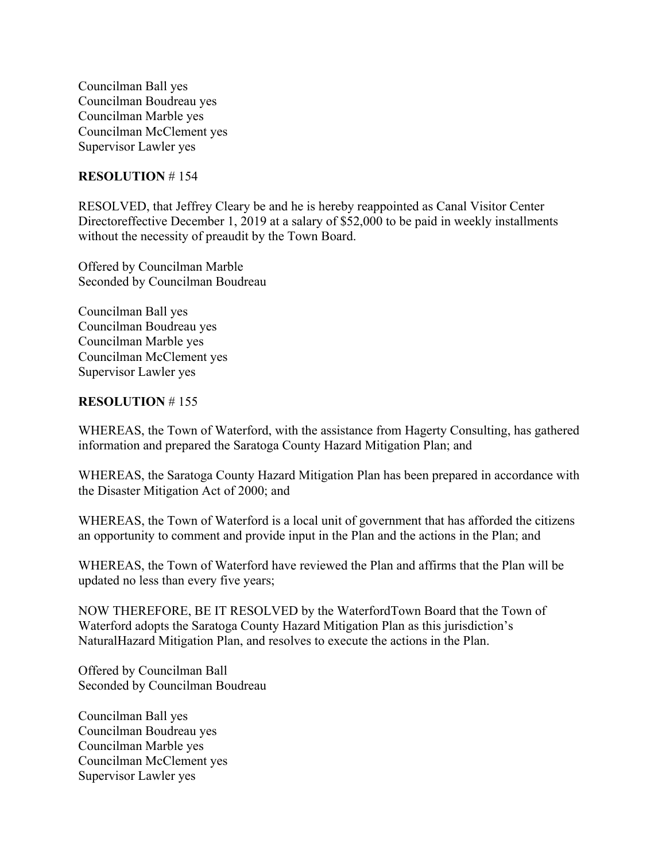Councilman Ball yes Councilman Boudreau yes Councilman Marble yes Councilman McClement yes Supervisor Lawler yes

### **RESOLUTION** # 154

RESOLVED, that Jeffrey Cleary be and he is hereby reappointed as Canal Visitor Center Directoreffective December 1, 2019 at a salary of \$52,000 to be paid in weekly installments without the necessity of preaudit by the Town Board.

Offered by Councilman Marble Seconded by Councilman Boudreau

Councilman Ball yes Councilman Boudreau yes Councilman Marble yes Councilman McClement yes Supervisor Lawler yes

### **RESOLUTION** # 155

WHEREAS, the Town of Waterford, with the assistance from Hagerty Consulting, has gathered information and prepared the Saratoga County Hazard Mitigation Plan; and

WHEREAS, the Saratoga County Hazard Mitigation Plan has been prepared in accordance with the Disaster Mitigation Act of 2000; and

WHEREAS, the Town of Waterford is a local unit of government that has afforded the citizens an opportunity to comment and provide input in the Plan and the actions in the Plan; and

WHEREAS, the Town of Waterford have reviewed the Plan and affirms that the Plan will be updated no less than every five years;

NOW THEREFORE, BE IT RESOLVED by the WaterfordTown Board that the Town of Waterford adopts the Saratoga County Hazard Mitigation Plan as this jurisdiction's NaturalHazard Mitigation Plan, and resolves to execute the actions in the Plan.

Offered by Councilman Ball Seconded by Councilman Boudreau

Councilman Ball yes Councilman Boudreau yes Councilman Marble yes Councilman McClement yes Supervisor Lawler yes